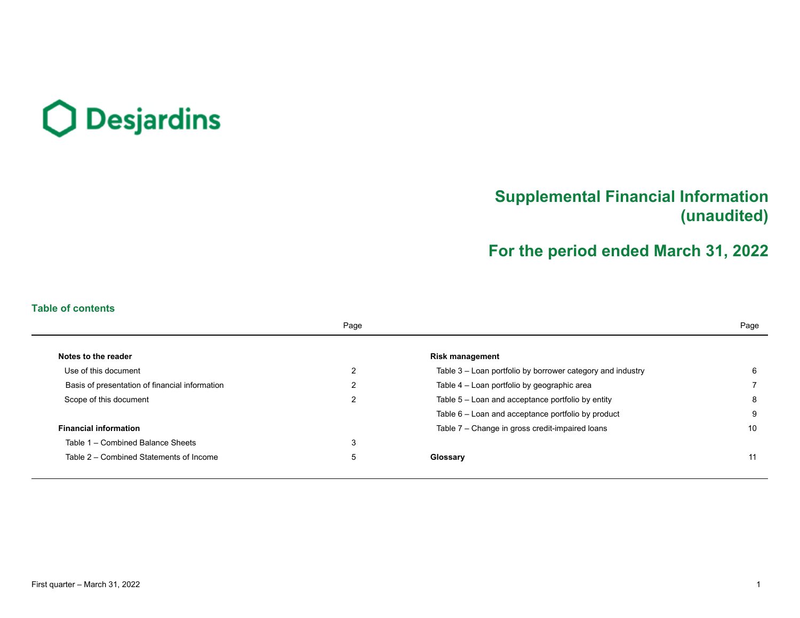# O Desjardins

# **Supplemental Financial Information (unaudited)**

# **For the period ended March 31, 2022**

# **Table of contents**

|                                                | Page |                                                            | Page |
|------------------------------------------------|------|------------------------------------------------------------|------|
| Notes to the reader                            |      | <b>Risk management</b>                                     |      |
| Use of this document                           | ົ    | Table 3 – Loan portfolio by borrower category and industry | 6    |
| Basis of presentation of financial information |      | Table 4 – Loan portfolio by geographic area                |      |
| Scope of this document                         | 2    | Table $5 -$ Loan and acceptance portfolio by entity        | 8    |
|                                                |      | Table 6 – Loan and acceptance portfolio by product         | 9    |
| <b>Financial information</b>                   |      | Table 7 - Change in gross credit-impaired loans            | 10   |
| Table 1 - Combined Balance Sheets              | 3    |                                                            |      |
| Table 2 – Combined Statements of Income        | 5    | Glossary                                                   | 11   |
|                                                |      |                                                            |      |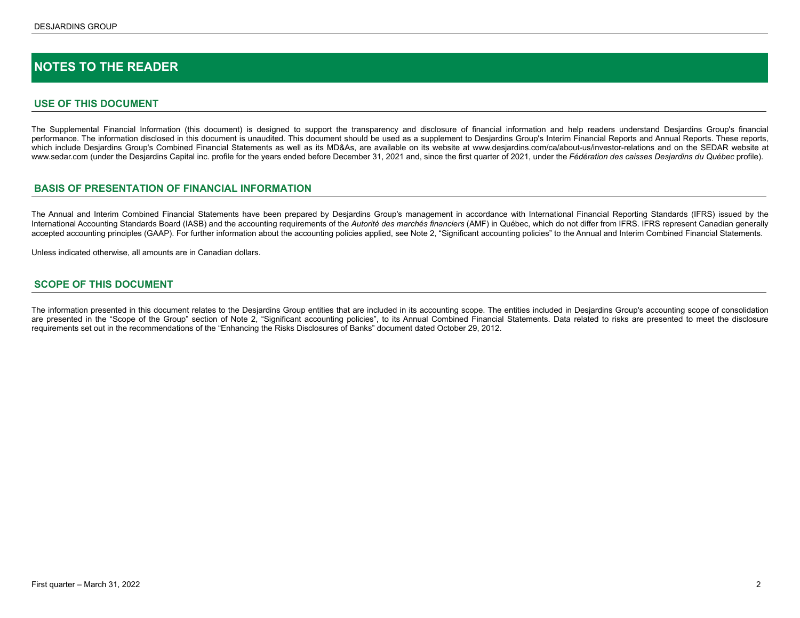# <span id="page-1-0"></span>**NOTES TO THE READER**

## **USE OF THIS DOCUMENT**

The Supplemental Financial Information (this document) is designed to support the transparency and disclosure of financial information and help readers understand Desjardins Group's financial performance. The information disclosed in this document is unaudited. This document should be used as a supplement to Desjardins Group's Interim Financial Reports and Annual Reports. These reports, which include Desiardins Group's Combined Financial Statements as well as its MD&As, are available on its website at www.desiardins.com/ca/about-us/investor-relations and on the SEDAR website at www.sedar.com (under the Desjardins Capital inc. profile for the years ended before December 31, 2021 and, since the first quarter of 2021, under the *Fédération des caisses Desjardins du Québec* profile).

## **BASIS OF PRESENTATION OF FINANCIAL INFORMATION**

The Annual and Interim Combined Financial Statements have been prepared by Desjardins Group's management in accordance with International Financial Reporting Standards (IFRS) issued by the International Accounting Standards Board (IASB) and the accounting requirements of the *Autorité des marchés financiers* (AMF) in Québec, which do not differ from IFRS. IFRS represent Canadian generally accepted accounting principles (GAAP). For further information about the accounting policies applied, see Note 2, "Significant accounting policies" to the Annual and Interim Combined Financial Statements.

Unless indicated otherwise, all amounts are in Canadian dollars.

## **SCOPE OF THIS DOCUMENT**

The information presented in this document relates to the Desjardins Group entities that are included in its accounting scope. The entities included in Desjardins Group's accounting scope of consolidation are presented in the "Scope of the Group" section of Note 2, "Significant accounting policies", to its Annual Combined Financial Statements. Data related to risks are presented to meet the disclosure requirements set out in the recommendations of the "Enhancing the Risks Disclosures of Banks" document dated October 29, 2012.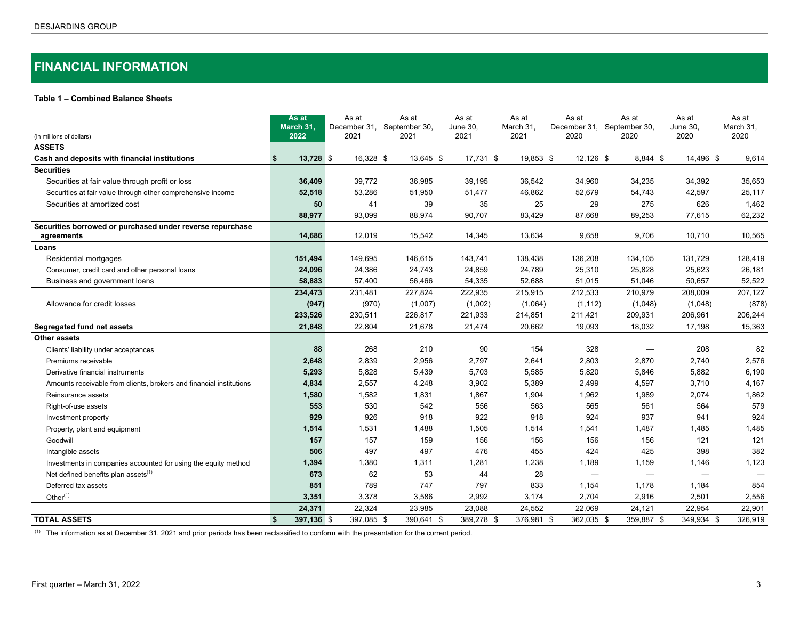# <span id="page-2-0"></span>**FINANCIAL INFORMATION**

## **Table 1 – Combined Balance Sheets**

|                                                                     |     | As at<br>March 31, | As at<br>December 31, | As at<br>September 30, |           | As at<br><b>June 30,</b> | As at<br>March 31, | As at<br>December 31,    | September 30, | As at                    | As at<br>June 30,        | As at<br>March 31, |
|---------------------------------------------------------------------|-----|--------------------|-----------------------|------------------------|-----------|--------------------------|--------------------|--------------------------|---------------|--------------------------|--------------------------|--------------------|
| (in millions of dollars)                                            |     | 2022               | 2021                  | 2021                   |           | 2021                     | 2021               | 2020                     |               | 2020                     | 2020                     | 2020               |
| <b>ASSETS</b>                                                       |     |                    |                       |                        |           |                          |                    |                          |               |                          |                          |                    |
| Cash and deposits with financial institutions                       | -\$ | 13,728 \$          | 16,328 \$             |                        | 13,645 \$ | 17,731 \$                | 19,853 \$          | 12,126 \$                |               | 8,844 \$                 | 14,496 \$                | 9,614              |
| <b>Securities</b>                                                   |     |                    |                       |                        |           |                          |                    |                          |               |                          |                          |                    |
| Securities at fair value through profit or loss                     |     | 36,409             | 39,772                | 36,985                 |           | 39,195                   | 36,542             | 34,960                   |               | 34,235                   | 34,392                   | 35,653             |
| Securities at fair value through other comprehensive income         |     | 52,518             | 53,286                | 51,950                 |           | 51,477                   | 46,862             | 52,679                   |               | 54,743                   | 42,597                   | 25,117             |
| Securities at amortized cost                                        |     | 50                 | 41                    |                        | 39        | 35                       | 25                 | 29                       |               | 275                      | 626                      | 1,462              |
|                                                                     |     | 88,977             | 93,099                | 88,974                 |           | 90,707                   | 83,429             | 87,668                   |               | 89,253                   | 77,615                   | 62,232             |
| Securities borrowed or purchased under reverse repurchase           |     |                    |                       |                        |           |                          |                    |                          |               |                          |                          |                    |
| agreements                                                          |     | 14,686             | 12,019                | 15,542                 |           | 14,345                   | 13,634             | 9,658                    |               | 9,706                    | 10,710                   | 10,565             |
| Loans                                                               |     |                    |                       |                        |           |                          |                    |                          |               |                          |                          |                    |
| Residential mortgages                                               |     | 151,494            | 149,695               | 146,615                |           | 143,741                  | 138,438            | 136,208                  |               | 134,105                  | 131,729                  | 128,419            |
| Consumer, credit card and other personal loans                      |     | 24,096             | 24,386                | 24,743                 |           | 24,859                   | 24,789             | 25,310                   |               | 25,828                   | 25,623                   | 26,181             |
| Business and government loans                                       |     | 58,883             | 57,400                | 56,466                 |           | 54,335                   | 52,688             | 51,015                   |               | 51,046                   | 50,657                   | 52,522             |
|                                                                     |     | 234,473            | 231,481               | 227,824                |           | 222,935                  | 215,915            | 212,533                  |               | 210,979                  | 208,009                  | 207,122            |
| Allowance for credit losses                                         |     | (947)              | (970)                 | (1,007)                |           | (1,002)                  | (1,064)            | (1, 112)                 |               | (1,048)                  | (1,048)                  | (878)              |
|                                                                     |     | 233,526            | 230,511               | 226,817                |           | 221,933                  | 214,851            | 211,421                  |               | 209,931                  | 206,961                  | 206,244            |
| Segregated fund net assets                                          |     | 21,848             | 22,804                | 21.678                 |           | 21,474                   | 20,662             | 19,093                   |               | 18,032                   | 17,198                   | 15,363             |
| Other assets                                                        |     |                    |                       |                        |           |                          |                    |                          |               |                          |                          |                    |
| Clients' liability under acceptances                                |     | 88                 | 268                   |                        | 210       | 90                       | 154                | 328                      |               |                          | 208                      | 82                 |
| Premiums receivable                                                 |     | 2,648              | 2,839                 | 2,956                  |           | 2,797                    | 2,641              | 2,803                    |               | 2,870                    | 2,740                    | 2,576              |
| Derivative financial instruments                                    |     | 5,293              | 5,828                 | 5,439                  |           | 5,703                    | 5,585              | 5,820                    |               | 5,846                    | 5,882                    | 6,190              |
| Amounts receivable from clients, brokers and financial institutions |     | 4,834              | 2,557                 | 4,248                  |           | 3,902                    | 5,389              | 2,499                    |               | 4,597                    | 3,710                    | 4,167              |
| Reinsurance assets                                                  |     | 1,580              | 1,582                 | 1,831                  |           | 1,867                    | 1,904              | 1,962                    |               | 1,989                    | 2,074                    | 1,862              |
| Right-of-use assets                                                 |     | 553                | 530                   |                        | 542       | 556                      | 563                | 565                      |               | 561                      | 564                      | 579                |
| Investment property                                                 |     | 929                | 926                   |                        | 918       | 922                      | 918                | 924                      |               | 937                      | 941                      | 924                |
| Property, plant and equipment                                       |     | 1,514              | 1,531                 | 1,488                  |           | 1,505                    | 1,514              | 1,541                    |               | 1,487                    | 1,485                    | 1,485              |
| Goodwill                                                            |     | 157                | 157                   |                        | 159       | 156                      | 156                | 156                      |               | 156                      | 121                      | 121                |
| Intangible assets                                                   |     | 506                | 497                   |                        | 497       | 476                      | 455                | 424                      |               | 425                      | 398                      | 382                |
| Investments in companies accounted for using the equity method      |     | 1,394              | 1,380                 | 1,311                  |           | 1,281                    | 1,238              | 1,189                    |               | 1,159                    | 1,146                    | 1,123              |
| Net defined benefits plan assets <sup>(1)</sup>                     |     | 673                | 62                    |                        | 53        | 44                       | 28                 | $\overline{\phantom{m}}$ |               | $\overline{\phantom{0}}$ | $\overline{\phantom{0}}$ |                    |
| Deferred tax assets                                                 |     | 851                | 789                   |                        | 747       | 797                      | 833                | 1,154                    |               | 1,178                    | 1,184                    | 854                |
| Other $(1)$                                                         |     | 3,351              | 3,378                 | 3,586                  |           | 2,992                    | 3,174              | 2,704                    |               | 2,916                    | 2,501                    | 2,556              |
|                                                                     |     | 24,371             | 22,324                | 23,985                 |           | 23,088                   | 24,552             | 22,069                   |               | 24,121                   | 22,954                   | 22,901             |
| <b>TOTAL ASSETS</b>                                                 | \$  | 397,136 \$         | 397.085 \$            | 390.641 \$             |           | 389,278 \$               | 376,981 \$         | 362,035 \$               |               | 359.887 \$               | 349.934 \$               | 326,919            |

 $(1)$  The information as at December 31, 2021 and prior periods has been reclassified to conform with the presentation for the current period.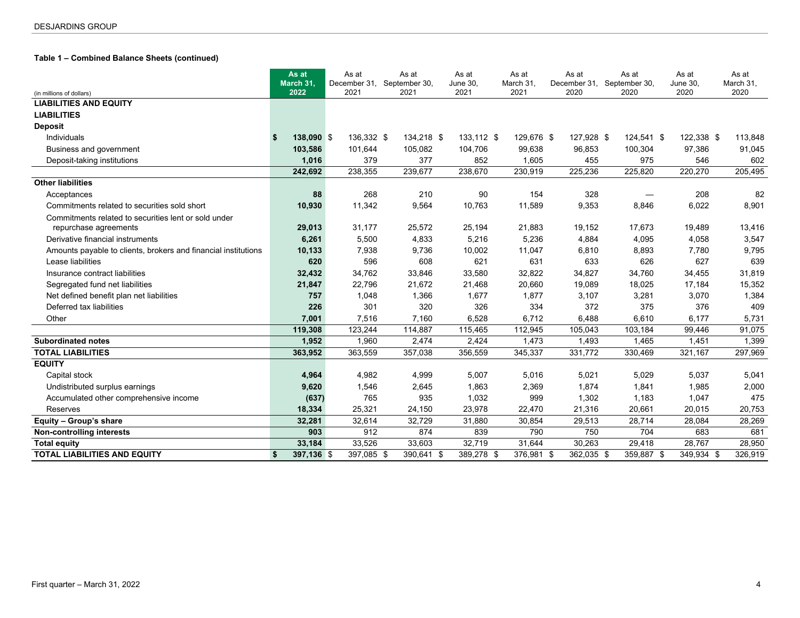# **Table 1 – Combined Balance Sheets (continued)**

|                                                                |    | As at<br>March 31, | As at<br>December 31, |            | As at<br>September 30, | As at<br>June 30, | As at<br>March 31, |            | As at<br>December 31, |            | As at<br>September 30, | As at<br>June 30, | As at<br>March 31, |
|----------------------------------------------------------------|----|--------------------|-----------------------|------------|------------------------|-------------------|--------------------|------------|-----------------------|------------|------------------------|-------------------|--------------------|
| (in millions of dollars)                                       |    | 2022               | 2021                  |            | 2021                   | 2021              | 2021               |            | 2020                  |            | 2020                   | 2020              | 2020               |
| <b>LIABILITIES AND EQUITY</b>                                  |    |                    |                       |            |                        |                   |                    |            |                       |            |                        |                   |                    |
| <b>LIABILITIES</b>                                             |    |                    |                       |            |                        |                   |                    |            |                       |            |                        |                   |                    |
| <b>Deposit</b>                                                 |    |                    |                       |            |                        |                   |                    |            |                       |            |                        |                   |                    |
| Individuals                                                    | -9 | 138,090 \$         |                       | 136,332 \$ | 134,218 \$             | 133,112 \$        |                    | 129,676 \$ |                       | 127,928 \$ | 124,541 \$             | 122,338 \$        | 113,848            |
| Business and government                                        |    | 103,586            | 101,644               |            | 105,082                | 104,706           |                    | 99,638     | 96,853                |            | 100,304                | 97,386            | 91,045             |
| Deposit-taking institutions                                    |    | 1,016              |                       | 379        | 377                    | 852               |                    | 1,605      |                       | 455        | 975                    | 546               | 602                |
|                                                                |    | 242,692            | 238,355               |            | 239,677                | 238,670           |                    | 230,919    | 225,236               |            | 225,820                | 220,270           | 205,495            |
| <b>Other liabilities</b>                                       |    |                    |                       |            |                        |                   |                    |            |                       |            |                        |                   |                    |
| Acceptances                                                    |    | 88                 |                       | 268        | 210                    | 90                |                    | 154        |                       | 328        |                        | 208               | 82                 |
| Commitments related to securities sold short                   |    | 10,930             |                       | 11,342     | 9,564                  | 10,763            |                    | 11,589     |                       | 9,353      | 8,846                  | 6,022             | 8,901              |
| Commitments related to securities lent or sold under           |    |                    |                       |            |                        |                   |                    |            |                       |            |                        |                   |                    |
| repurchase agreements                                          |    | 29,013             |                       | 31,177     | 25,572                 | 25,194            |                    | 21,883     |                       | 19,152     | 17,673                 | 19,489            | 13,416             |
| Derivative financial instruments                               |    | 6,261              |                       | 5,500      | 4,833                  | 5,216             |                    | 5,236      |                       | 4,884      | 4,095                  | 4,058             | 3,547              |
| Amounts payable to clients, brokers and financial institutions |    | 10,133             |                       | 7,938      | 9,736                  | 10,002            |                    | 11,047     |                       | 6,810      | 8,893                  | 7,780             | 9,795              |
| Lease liabilities                                              |    | 620                |                       | 596        | 608                    | 621               |                    | 631        |                       | 633        | 626                    | 627               | 639                |
| Insurance contract liabilities                                 |    | 32,432             |                       | 34,762     | 33,846                 | 33,580            |                    | 32,822     | 34,827                |            | 34,760                 | 34,455            | 31,819             |
| Segregated fund net liabilities                                |    | 21,847             |                       | 22,796     | 21,672                 | 21,468            |                    | 20,660     | 19,089                |            | 18,025                 | 17,184            | 15,352             |
| Net defined benefit plan net liabilities                       |    | 757                |                       | 1,048      | 1,366                  | 1,677             |                    | 1,877      |                       | 3,107      | 3,281                  | 3,070             | 1,384              |
| Deferred tax liabilities                                       |    | 226                |                       | 301        | 320                    | 326               |                    | 334        |                       | 372        | 375                    | 376               | 409                |
| Other                                                          |    | 7,001              |                       | 7,516      | 7,160                  | 6,528             |                    | 6,712      |                       | 6,488      | 6,610                  | 6,177             | 5,731              |
|                                                                |    | 119,308            | 123,244               |            | 114,887                | 115,465           |                    | 112,945    | 105,043               |            | 103,184                | 99,446            | 91,075             |
| <b>Subordinated notes</b>                                      |    | 1.952              |                       | 1,960      | 2,474                  | 2,424             |                    | 1,473      |                       | 1.493      | 1,465                  | 1,451             | 1,399              |
| <b>TOTAL LIABILITIES</b>                                       |    | 363,952            | 363,559               |            | 357,038                | 356,559           |                    | 345,337    | 331,772               |            | 330,469                | 321,167           | 297,969            |
| <b>EQUITY</b>                                                  |    |                    |                       |            |                        |                   |                    |            |                       |            |                        |                   |                    |
| Capital stock                                                  |    | 4,964              |                       | 4,982      | 4,999                  | 5,007             |                    | 5,016      |                       | 5,021      | 5,029                  | 5,037             | 5,041              |
| Undistributed surplus earnings                                 |    | 9,620              |                       | 1,546      | 2,645                  | 1,863             |                    | 2,369      |                       | 1,874      | 1,841                  | 1,985             | 2,000              |
| Accumulated other comprehensive income                         |    | (637)              |                       | 765        | 935                    | 1,032             |                    | 999        |                       | 1,302      | 1,183                  | 1,047             | 475                |
| Reserves                                                       |    | 18,334             |                       | 25,321     | 24,150                 | 23,978            |                    | 22,470     | 21,316                |            | 20,661                 | 20,015            | 20,753             |
| Equity - Group's share                                         |    | 32,281             |                       | 32,614     | 32,729                 | 31,880            |                    | 30,854     | 29,513                |            | 28,714                 | 28,084            | 28,269             |
| Non-controlling interests                                      |    | 903                |                       | 912        | 874                    | 839               |                    | 790        |                       | 750        | 704                    | 683               | 681                |
| <b>Total equity</b>                                            |    | 33,184             |                       | 33,526     | 33,603                 | 32,719            |                    | 31,644     | 30,263                |            | 29,418                 | 28,767            | 28,950             |
| <b>TOTAL LIABILITIES AND EQUITY</b>                            | \$ | 397,136 \$         |                       | 397,085 \$ | 390,641 \$             | 389,278 \$        |                    | 376,981 \$ | 362,035 \$            |            | 359,887 \$             | 349,934 \$        | 326,919            |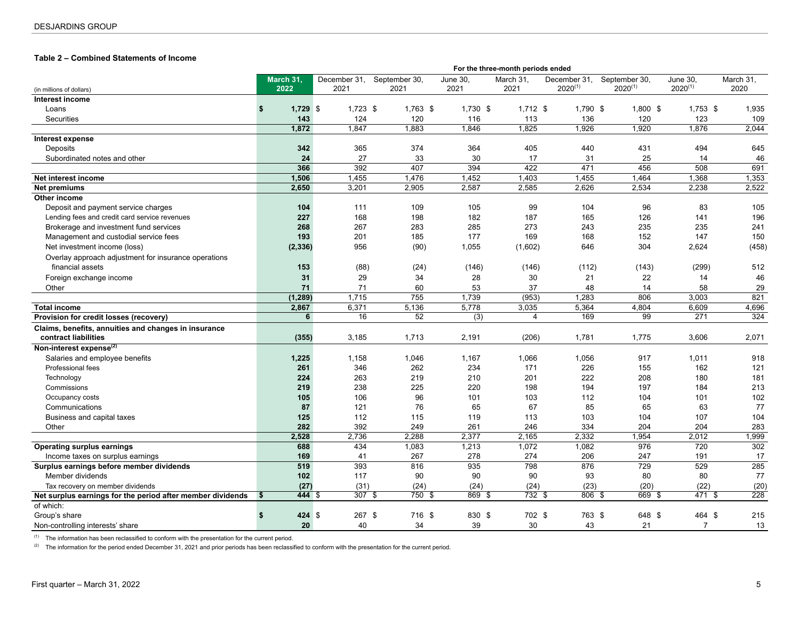## <span id="page-4-0"></span>**Table 2 – Combined Statements of Income <sup>0</sup>**

|                                                            |                       |              |               |                  | For the three-month periods ended |                  |               |                |           |
|------------------------------------------------------------|-----------------------|--------------|---------------|------------------|-----------------------------------|------------------|---------------|----------------|-----------|
|                                                            | March 31,             | December 31, | September 30, | June 30,         | March 31,                         | December 31,     | September 30, | June 30.       | March 31, |
| (in millions of dollars)                                   | 2022                  | 2021         | 2021          | 2021             | 2021                              | $2020^{(1)}$     | $2020^{(1)}$  | $2020^{(1)}$   | 2020      |
| Interest income                                            |                       |              |               |                  |                                   |                  |               |                |           |
| Loans                                                      | \$<br>$1,729$ \$      | $1,723$ \$   | 1,763 \$      | $1,730$ \$       | $1,712$ \$                        | 1,790 \$         | $1,800$ \$    | $1,753$ \$     | 1,935     |
| Securities                                                 | 143                   | 124          | 120           | 116              | 113                               | 136              | 120           | 123            | 109       |
|                                                            | 1.872                 | 1.847        | 1,883         | 1,846            | 1,825                             | 1,926            | 1,920         | 1.876          | 2,044     |
| Interest expense                                           |                       |              |               |                  |                                   |                  |               |                |           |
| Deposits                                                   | 342                   | 365          | 374           | 364              | 405                               | 440              | 431           | 494            | 645       |
| Subordinated notes and other                               | 24                    | 27           | 33            | 30               | 17                                | 31               | 25            | 14             | 46        |
|                                                            | 366                   | 392          | 407           | 394              | 422                               | 471              | 456           | 508            | 691       |
| Net interest income                                        | 1,506                 | 1,455        | 1,476         | 1,452            | 1,403                             | 1,455            | 1,464         | 1,368          | 1,353     |
| <b>Net premiums</b>                                        | 2,650                 | 3,201        | 2,905         | 2,587            | 2,585                             | 2,626            | 2,534         | 2,238          | 2,522     |
| Other income                                               |                       |              |               |                  |                                   |                  |               |                |           |
| Deposit and payment service charges                        | 104                   | 111          | 109           | 105              | 99                                | 104              | 96            | 83             | 105       |
| Lending fees and credit card service revenues              | 227                   | 168          | 198           | 182              | 187                               | 165              | 126           | 141            | 196       |
| Brokerage and investment fund services                     | 268                   | 267          | 283           | 285              | 273                               | 243              | 235           | 235            | 241       |
| Management and custodial service fees                      | 193                   | 201          | 185           | 177              | 169                               | 168              | 152           | 147            | 150       |
| Net investment income (loss)                               | (2, 336)              | 956          | (90)          | 1,055            | (1,602)                           | 646              | 304           | 2,624          | (458)     |
| Overlay approach adjustment for insurance operations       |                       |              |               |                  |                                   |                  |               |                |           |
| financial assets                                           | 153                   | (88)         | (24)          | (146)            | (146)                             | (112)            | (143)         | (299)          | 512       |
| Foreign exchange income                                    | 31                    | 29           | 34            | 28               | 30                                | 21               | 22            | 14             | 46        |
| Other                                                      | 71                    | 71           | 60            | 53               | 37                                | 48               | 14            | 58             | 29        |
|                                                            | (1, 289)              | 1,715        | 755           | 1,739            | (953)                             | 1,283            | 806           | 3,003          | 821       |
| <b>Total income</b>                                        | 2,867                 | 6,371        | 5,136         | 5,778            | 3,035                             | 5,364            | 4,804         | 6,609          | 4,696     |
| Provision for credit losses (recovery)                     | 6                     | 16           | 52            | $\overline{(3)}$ | 4                                 | 169              | 99            | 271            | 324       |
| Claims, benefits, annuities and changes in insurance       |                       |              |               |                  |                                   |                  |               |                |           |
| contract liabilities                                       | (355)                 | 3,185        | 1,713         | 2,191            | (206)                             | 1,781            | 1,775         | 3,606          | 2,071     |
| Non-interest expense <sup>(2)</sup>                        |                       |              |               |                  |                                   |                  |               |                |           |
| Salaries and employee benefits                             | 1,225                 | 1,158        | 1,046         | 1,167            | 1,066                             | 1,056            | 917           | 1,011          | 918       |
| Professional fees                                          | 261                   | 346          | 262           | 234              | 171                               | 226              | 155           | 162            | 121       |
| Technology                                                 | 224                   | 263          | 219           | 210              | 201                               | 222              | 208           | 180            | 181       |
| Commissions                                                | 219                   | 238          | 225           | 220              | 198                               | 194              | 197           | 184            | 213       |
| Occupancy costs                                            | 105                   | 106          | 96            | 101              | 103                               | 112              | 104           | 101            | 102       |
| Communications                                             | 87                    | 121          | 76            | 65               | 67                                | 85               | 65            | 63             | 77        |
| Business and capital taxes                                 | 125                   | 112          | 115           | 119              | 113                               | 103              | 104           | 107            | 104       |
| Other                                                      | 282                   | 392          | 249           | 261              | 246                               | 334              | 204           | 204            | 283       |
|                                                            | 2,528                 | 2,736        | 2,288         | 2,377            | 2,165                             | 2,332            | 1,954         | 2,012          | 1,999     |
| <b>Operating surplus earnings</b>                          | 688                   | 434          | 1,083         | 1,213            | 1,072                             | 1,082            | 976           | 720            | 302       |
| Income taxes on surplus earnings                           | 169                   | 41           | 267           | 278              | 274                               | 206              | 247           | 191            | 17        |
| Surplus earnings before member dividends                   | 519                   | 393          | 816           | 935              | 798                               | 876              | 729           | 529            | 285       |
| Member dividends                                           | 102                   | 117          | 90            | 90               | 90                                | 93               | 80            | 80             | 77        |
| Tax recovery on member dividends                           | (27)                  | (31)         | (24)          | (24)             | (24)                              | (23)             | (20)          | (22)           | (20)      |
| Net surplus earnings for the period after member dividends | 444S<br>$\frac{1}{2}$ | 307S         | 750S          | 869 \$           | 732S                              | 806 <sup>5</sup> | 669 \$        | 471S           | 228       |
| of which:                                                  |                       |              |               |                  |                                   |                  |               |                |           |
| Group's share                                              | 424S<br>\$            | 267 \$       | 716 \$        | 830 \$           | 702 \$                            | 763 \$           | 648 \$        | 464 \$         | 215       |
| Non-controlling interests' share                           | 20                    | 40           | 34            | 39               | 30                                | 43               | 21            | $\overline{7}$ | 13        |

 $(1)$  The information has been reclassified to conform with the presentation for the current period.

<sup>(2)</sup> The information for the period ended December 31, 2021 and prior periods has been reclassified to conform with the presentation for the current period.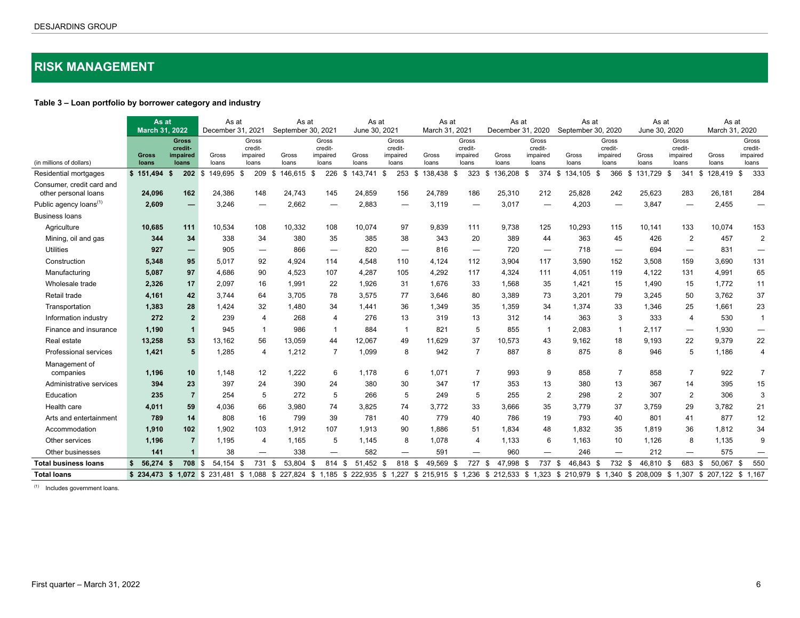# <span id="page-5-0"></span>**RISK MANAGEMENT**

# **Table 3 – Loan portfolio by borrower category and industry 7**

|                                                   | As at<br><b>March 31, 2022</b> |                                              | As at<br>December 31, 2021 |                                       | As at<br>September 30, 2021 |                                       | As at<br>June 30, 2021 |                                       | As at<br>March 31, 2021 |                                       | As at<br>December 31, 2020                                                                                                                                                          |                                       | As at<br>September 30, 2020 |                                       | As at<br>June 30, 2020 |                                       | As at<br>March 31, 2020 |                                       |
|---------------------------------------------------|--------------------------------|----------------------------------------------|----------------------------|---------------------------------------|-----------------------------|---------------------------------------|------------------------|---------------------------------------|-------------------------|---------------------------------------|-------------------------------------------------------------------------------------------------------------------------------------------------------------------------------------|---------------------------------------|-----------------------------|---------------------------------------|------------------------|---------------------------------------|-------------------------|---------------------------------------|
| (in millions of dollars)                          | <b>Gross</b><br>loans          | <b>Gross</b><br>credit-<br>impaired<br>loans | Gross<br>loans             | Gross<br>credit-<br>impaired<br>loans | Gross<br>loans              | Gross<br>credit-<br>impaired<br>loans | Gross<br>loans         | Gross<br>credit-<br>impaired<br>loans | Gross<br>loans          | Gross<br>credit-<br>impaired<br>loans | Gross<br>loans                                                                                                                                                                      | Gross<br>credit-<br>impaired<br>loans | Gross<br>loans              | Gross<br>credit-<br>impaired<br>loans | Gross<br>loans         | Gross<br>credit-<br>impaired<br>loans | Gross<br>loans          | Gross<br>credit-<br>impaired<br>loans |
| Residential mortgages                             | \$151,494                      | \$<br>202S                                   | 149,695 \$                 | 209S                                  | 146,615 \$                  | 226                                   | 143,741 \$<br>- \$     | 253                                   | 138,438 \$<br>- \$      | 323                                   | 136,208<br>\$                                                                                                                                                                       | 374 \$<br>-\$                         | 134,105                     | 366<br>- \$                           | 131,729<br>\$          | 341<br>- \$                           | 128,419<br>-\$          | 333<br>-\$                            |
| Consumer, credit card and<br>other personal loans | 24,096                         | 162                                          | 24,386                     | 148                                   | 24,743                      | 145                                   | 24,859                 | 156                                   | 24,789                  | 186                                   | 25,310                                                                                                                                                                              | 212                                   | 25,828                      | 242                                   | 25,623                 | 283                                   | 26,181                  | 284                                   |
| Public agency loans <sup>(1)</sup>                | 2,609                          | —<br>—                                       | 3,246                      |                                       | 2,662                       |                                       | 2,883                  |                                       | 3,119                   | —                                     | 3,017                                                                                                                                                                               |                                       | 4,203                       |                                       | 3,847                  |                                       | 2,455                   | -                                     |
| <b>Business loans</b>                             |                                |                                              |                            |                                       |                             |                                       |                        |                                       |                         |                                       |                                                                                                                                                                                     |                                       |                             |                                       |                        |                                       |                         |                                       |
| Agriculture                                       | 10,685                         | 111                                          | 10,534                     | 108                                   | 10,332                      | 108                                   | 10,074                 | 97                                    | 9,839                   | 111                                   | 9,738                                                                                                                                                                               | 125                                   | 10,293                      | 115                                   | 10,141                 | 133                                   | 10,074                  | 153                                   |
| Mining, oil and gas                               | 344                            | 34                                           | 338                        | 34                                    | 380                         | 35                                    | 385                    | 38                                    | 343                     | 20                                    | 389                                                                                                                                                                                 | 44                                    | 363                         | 45                                    | 426                    | $\overline{2}$                        | 457                     | $\overline{2}$                        |
| <b>Utilities</b>                                  | 927                            | —                                            | 905                        | $\overline{\phantom{m}}$              | 866                         | $\hspace{0.1mm}-\hspace{0.1mm}$       | 820                    |                                       | 816                     |                                       | 720                                                                                                                                                                                 | $\overbrace{\phantom{1232211}}$       | 718                         |                                       | 694                    | $\overline{\phantom{0}}$              | 831                     |                                       |
| Construction                                      | 5,348                          | 95                                           | 5,017                      | 92                                    | 4,924                       | 114                                   | 4,548                  | 110                                   | 4,124                   | 112                                   | 3,904                                                                                                                                                                               | 117                                   | 3,590                       | 152                                   | 3,508                  | 159                                   | 3,690                   | 131                                   |
| Manufacturing                                     | 5,087                          | 97                                           | 4,686                      | 90                                    | 4,523                       | 107                                   | 4,287                  | 105                                   | 4,292                   | 117                                   | 4,324                                                                                                                                                                               | 111                                   | 4,051                       | 119                                   | 4,122                  | 131                                   | 4,991                   | 65                                    |
| Wholesale trade                                   | 2,326                          | 17                                           | 2,097                      | 16                                    | 1,991                       | 22                                    | 1,926                  | 31                                    | 1,676                   | 33                                    | 1,568                                                                                                                                                                               | 35                                    | 1,421                       | 15                                    | 1,490                  | 15                                    | 1,772                   | 11                                    |
| Retail trade                                      | 4,161                          | 42                                           | 3.744                      | 64                                    | 3.705                       | 78                                    | 3.575                  | 77                                    | 3.646                   | 80                                    | 3,389                                                                                                                                                                               | 73                                    | 3.201                       | 79                                    | 3.245                  | 50                                    | 3,762                   | 37                                    |
| Transportation                                    | 1,383                          | 28                                           | 1.424                      | 32                                    | 1.480                       | 34                                    | 1.441                  | 36                                    | 1,349                   | 35                                    | 1,359                                                                                                                                                                               | 34                                    | 1,374                       | 33                                    | 1,346                  | 25                                    | 1,661                   | 23                                    |
| Information industry                              | 272                            | $\overline{2}$                               | 239                        | 4                                     | 268                         | $\overline{4}$                        | 276                    | 13                                    | 319                     | 13                                    | 312                                                                                                                                                                                 | 14                                    | 363                         | 3                                     | 333                    | $\overline{4}$                        | 530                     | $\overline{1}$                        |
| Finance and insurance                             | 1,190                          | $\mathbf{1}$                                 | 945                        | -1                                    | 986                         | -1                                    | 884                    | $\mathbf 1$                           | 821                     | 5                                     | 855                                                                                                                                                                                 | $\overline{1}$                        | 2,083                       | -1                                    | 2.117                  |                                       | 1,930                   | $\qquad \qquad \longleftarrow$        |
| Real estate                                       | 13,258                         | 53                                           | 13.162                     | 56                                    | 13.059                      | 44                                    | 12,067                 | 49                                    | 11.629                  | 37                                    | 10,573                                                                                                                                                                              | 43                                    | 9,162                       | 18                                    | 9.193                  | 22                                    | 9,379                   | 22                                    |
| Professional services                             | 1,421                          | 5                                            | 1,285                      | 4                                     | 1,212                       | $\overline{7}$                        | 1,099                  | 8                                     | 942                     | $\overline{7}$                        | 887                                                                                                                                                                                 | 8                                     | 875                         | 8                                     | 946                    | 5                                     | 1,186                   | $\overline{4}$                        |
| Management of<br>companies                        | 1,196                          | 10                                           | 1,148                      | 12                                    | 1,222                       | 6                                     | 1,178                  | 6                                     | 1,071                   | $\overline{7}$                        | 993                                                                                                                                                                                 | 9                                     | 858                         | $\overline{7}$                        | 858                    | $\overline{7}$                        | 922                     | $\overline{7}$                        |
| Administrative services                           | 394                            | 23                                           | 397                        | 24                                    | 390                         | 24                                    | 380                    | 30                                    | 347                     | 17                                    | 353                                                                                                                                                                                 | 13                                    | 380                         | 13                                    | 367                    | 14                                    | 395                     | 15                                    |
| Education                                         | 235                            | $\overline{7}$                               | 254                        | 5                                     | 272                         | 5                                     | 266                    | 5                                     | 249                     | 5                                     | 255                                                                                                                                                                                 | 2                                     | 298                         | $\overline{2}$                        | 307                    | 2                                     | 306                     | 3                                     |
| Health care                                       | 4.011                          | 59                                           | 4.036                      | 66                                    | 3.980                       | 74                                    | 3,825                  | 74                                    | 3.772                   | 33                                    | 3.666                                                                                                                                                                               | 35                                    | 3,779                       | 37                                    | 3.759                  | 29                                    | 3,782                   | 21                                    |
| Arts and entertainment                            | 789                            | 14                                           | 808                        | 16                                    | 799                         | 39                                    | 781                    | 40                                    | 779                     | 40                                    | 786                                                                                                                                                                                 | 19                                    | 793                         | 40                                    | 801                    | 41                                    | 877                     | 12                                    |
| Accommodation                                     | 1,910                          | 102                                          | 1.902                      | 103                                   | 1,912                       | 107                                   | 1,913                  | 90                                    | 1.886                   | 51                                    | 1,834                                                                                                                                                                               | 48                                    | 1.832                       | 35                                    | 1.819                  | 36                                    | 1,812                   | 34                                    |
| Other services                                    | 1,196                          | $\overline{7}$                               | 1,195                      | 4                                     | 1,165                       | 5                                     | 1,145                  | 8                                     | 1.078                   | $\boldsymbol{4}$                      | 1,133                                                                                                                                                                               | 6                                     | 1,163                       | 10                                    | 1,126                  | 8                                     | 1,135                   | 9                                     |
| Other businesses                                  | 141                            | $\mathbf{1}$                                 | 38                         | $\overline{\phantom{0}}$              | 338                         | $\qquad \qquad -$                     | 582                    | $\overbrace{\phantom{aaaaa}}$         | 591                     | $\overline{\phantom{0}}$              | 960                                                                                                                                                                                 | $\qquad \qquad -$                     | 246                         | $\hspace{0.1mm}-\hspace{0.1mm}$       | 212                    | $\overline{\phantom{m}}$              | 575                     | —                                     |
| <b>Total business loans</b>                       | 56.274<br>s.                   | 708 \$<br>s.                                 | 54.154 \$                  | 731 \$                                | 53.804 \$                   | 814 \$                                | 51.452 \$              | 818 \$                                | 49,569 \$               | 727 \$                                | 47.998                                                                                                                                                                              | 737 \$<br>- \$                        | 46.843 \$                   | 732 \$                                | 46.810 \$              | 683                                   | 50.067<br>- \$          | 550<br>\$                             |
| <b>Total loans</b>                                |                                |                                              |                            |                                       |                             |                                       |                        |                                       |                         |                                       | \$ 234,473 \$ 1,072 \$ 231,481 \$ 1,088 \$ 227,824 \$ 1,185 \$ 222,935 \$ 1,227 \$ 215,915 \$ 1,236 \$ 212,533 \$ 1,323 \$ 210,979 \$ 1,340 \$ 208,009 \$ 1,307 \$ 207,122 \$ 1,167 |                                       |                             |                                       |                        |                                       |                         |                                       |

 $\overline{a}$  Includes government loans.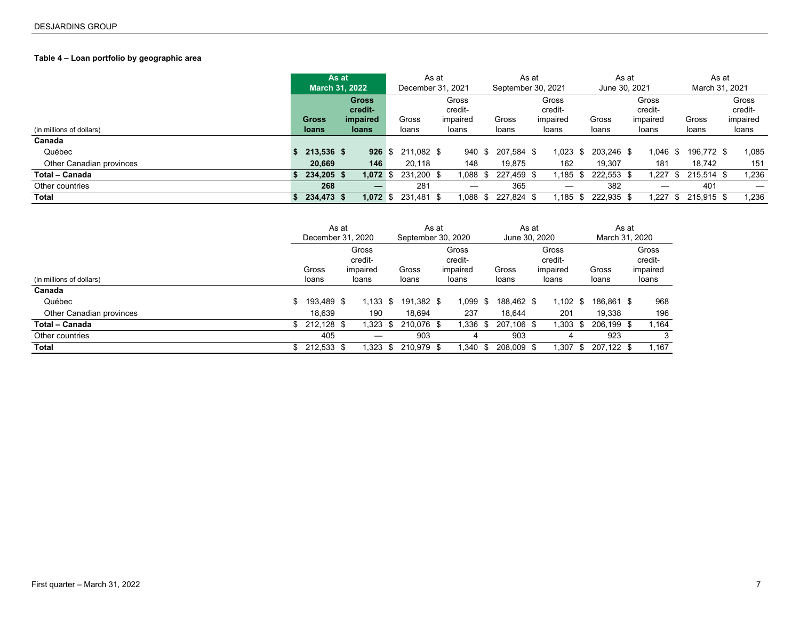# <span id="page-6-0"></span>Table 4 – Loan portfolio by geographic area

|                          | As at<br><b>March 31, 2022</b> |                          | December 31, 2021 | As at |                   | As at<br>September 30, 2021 |                   |      | As at<br>June 30, 2021 |                   |      | As at<br>March 31, 2021 |                   |
|--------------------------|--------------------------------|--------------------------|-------------------|-------|-------------------|-----------------------------|-------------------|------|------------------------|-------------------|------|-------------------------|-------------------|
|                          |                                | <b>Gross</b><br>credit-  |                   |       | Gross<br>credit-  |                             | Gross<br>credit-  |      |                        | Gross<br>credit-  |      |                         | Gross<br>credit-  |
| (in millions of dollars) | <b>Gross</b><br><b>loans</b>   | impaired<br><b>loans</b> | Gross<br>loans    |       | impaired<br>loans | Gross<br>loans              | impaired<br>loans |      | Gross<br>loans         | impaired<br>loans |      | Gross<br>loans          | impaired<br>loans |
| Canada                   |                                |                          |                   |       |                   |                             |                   |      |                        |                   |      |                         |                   |
| Québec                   | 213,536 \$                     | $926 \text{ }$ \$        | 211.082 \$        |       | 940               | \$<br>207,584 \$            | 1.023             | - \$ | 203,246 \$             | $1,046$ \$        |      | 196,772 \$              | 1,085             |
| Other Canadian provinces | 20,669                         | 146                      | 20.118            |       | 148               | 19.875                      | 162               |      | 19.307                 | 181               |      | 18.742                  | 151               |
| Total - Canada           | 234,205 \$                     | $1,072$ \$               | 231,200 \$        |       | 880.1             | 227,459 \$                  | l.185 \$          |      | 222,553 \$             | 1,227             | - \$ | 215,514 \$              | 1,236             |
| Other countries          | 268                            | –                        | 281               |       | $\hspace{0.05cm}$ | 365                         |                   |      | 382                    |                   |      | 401                     | $\hspace{0.05cm}$ |
| Total                    | 234,473 \$                     | 1,072 \$                 | 231,481 \$        |       | 880.1             | 227.824 \$                  | l.185 \$          |      | 222,935 \$             | 1.227             | -S   | 215,915 \$              | 1,236             |

|                          |    | December 31, 2020 | As at |                                       |      | September 30, 2020 | As at |                                       | June 30, 2020  | As at |                                       |      | March 31, 2020 | As at |                                       |
|--------------------------|----|-------------------|-------|---------------------------------------|------|--------------------|-------|---------------------------------------|----------------|-------|---------------------------------------|------|----------------|-------|---------------------------------------|
| (in millions of dollars) |    | Gross<br>loans    |       | Gross<br>credit-<br>impaired<br>loans |      | Gross<br>loans     |       | Gross<br>credit-<br>impaired<br>loans | Gross<br>loans |       | Gross<br>credit-<br>impaired<br>loans |      | Gross<br>loans |       | Gross<br>credit-<br>impaired<br>loans |
| Canada                   |    |                   |       |                                       |      |                    |       |                                       |                |       |                                       |      |                |       |                                       |
| Québec                   | \$ | 193,489 \$        |       | $1.133$ \$                            |      | 191.382 \$         |       | $1.099$ \$                            | 188.462 \$     |       | 1.102                                 | - \$ | 186.861 \$     |       | 968                                   |
| Other Canadian provinces |    | 18.639            |       | 190                                   |      | 18.694             |       | 237                                   | 18.644         |       | 201                                   |      | 19.338         |       | 196                                   |
| Total - Canada           |    | $$212.128$ \$     |       | 1,323                                 | - \$ | 210.076 \$         |       | $1,336$ \$                            | 207.106 \$     |       | 1,303                                 | \$   | 206,199 \$     |       | 1,164                                 |
| Other countries          |    | 405               |       |                                       |      | 903                |       |                                       | 903            |       | 4                                     |      | 923            |       | 3                                     |
| Total                    | S. | 212,533 \$        |       | 1.323                                 | - \$ | 210,979 \$         |       | $1.340$ \$                            | 208.009 \$     |       | 1.307                                 | -S   | 207,122 \$     |       | 1,167                                 |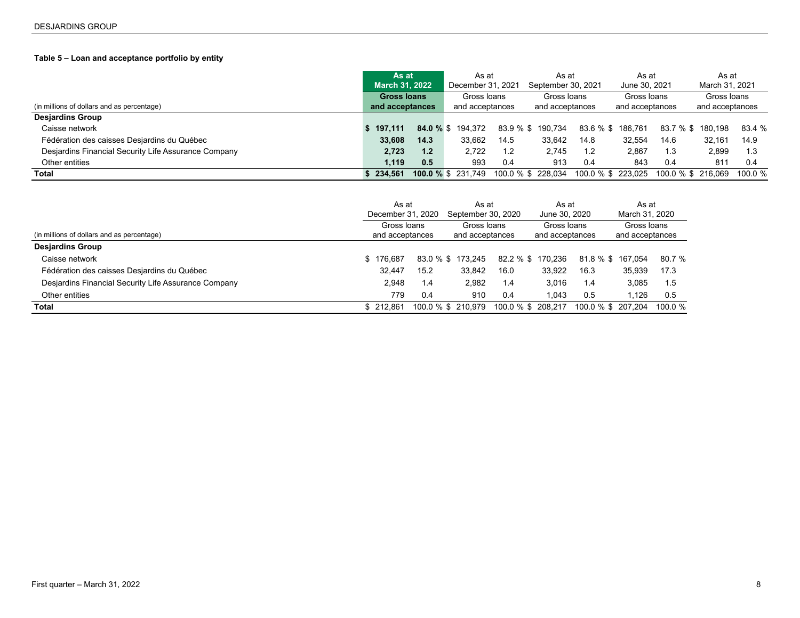# <span id="page-7-0"></span>**Table 5 – Loan and acceptance portfolio by entity**

|                                                      | As at<br><b>March 31, 2022</b> |      | As at<br>December 31, 2021 |      | As at<br>September 30, 2021 |           | As at<br>June 30, 2021 |                    | As at<br>March 31, 2021 |            |
|------------------------------------------------------|--------------------------------|------|----------------------------|------|-----------------------------|-----------|------------------------|--------------------|-------------------------|------------|
|                                                      | <b>Gross loans</b>             |      | Gross Ioans                |      | Gross Ioans                 |           | Gross Ioans            |                    | Gross Ioans             |            |
| (in millions of dollars and as percentage)           | and acceptances                |      | and acceptances            |      | and acceptances             |           | and acceptances        |                    | and acceptances         |            |
| <b>Desjardins Group</b>                              |                                |      |                            |      |                             |           |                        |                    |                         |            |
| Caisse network                                       | \$197.111                      |      | <b>84.0 % \$</b> 194.372   |      | 83.9 % \$ 190.734           | 83.6 % \$ | 186.761                |                    | 83.7 % \$ 180.198       | 83.4 %     |
| Fédération des caisses Desjardins du Québec          | 33,608                         | 14.3 | 33,662                     | 14.5 | 33,642                      | 14.8      | 32.554                 | 14.6               | 32.161                  | 14.9       |
| Desjardins Financial Security Life Assurance Company | 2,723                          | 1.2  | 2.722                      | 1.2  | 2.745                       | 1.2       | 2.867                  | 1.3                | 2,899                   | 1.3        |
| Other entities                                       | 1.119                          | 0.5  | 993                        | 0.4  | 913                         | 0.4       | 843                    | 0.4                | 811                     | 0.4        |
| <b>Total</b>                                         | \$234.561                      |      | 100.0 % \$ 231.749         |      | 100.0 % \$ 228.034          |           | 100.0 % \$ 223.025     | 100.0 % \$ 216.069 |                         | $100.0 \%$ |

|                                                      |           | As at<br>December 31, 2020     | As at<br>September 30, 2020    |                    | As at<br>June 30, 2020         |                    | As at<br>March 31, 2020        |           |
|------------------------------------------------------|-----------|--------------------------------|--------------------------------|--------------------|--------------------------------|--------------------|--------------------------------|-----------|
| (in millions of dollars and as percentage)           |           | Gross loans<br>and acceptances | Gross Ioans<br>and acceptances |                    | Gross Ioans<br>and acceptances |                    | Gross Ioans<br>and acceptances |           |
| <b>Desjardins Group</b>                              |           |                                |                                |                    |                                |                    |                                |           |
| Caisse network                                       | \$176.687 |                                | 83.0 % \$ 173.245              | 82.2 % \$          | 170.236                        |                    | 81.8 % \$ 167.054              | 80.7 %    |
| Fédération des caisses Desjardins du Québec          | 32.447    | 15.2                           | 33.842                         | 16.0               | 33.922                         | 16.3               | 35,939                         | 17.3      |
| Desjardins Financial Security Life Assurance Company | 2.948     | 1.4                            | 2,982                          | 1.4                | 3.016                          | 1.4                | 3.085                          | 1.5       |
| Other entities                                       |           | 779<br>0.4                     | 910                            | 0.4                | 1.043                          | 0.5                | 1.126                          | 0.5       |
| Total                                                | \$212.861 |                                | 100.0 % \$ 210.979             | 100.0 % \$ 208.217 |                                | 100.0 % \$ 207.204 |                                | 100.0 $%$ |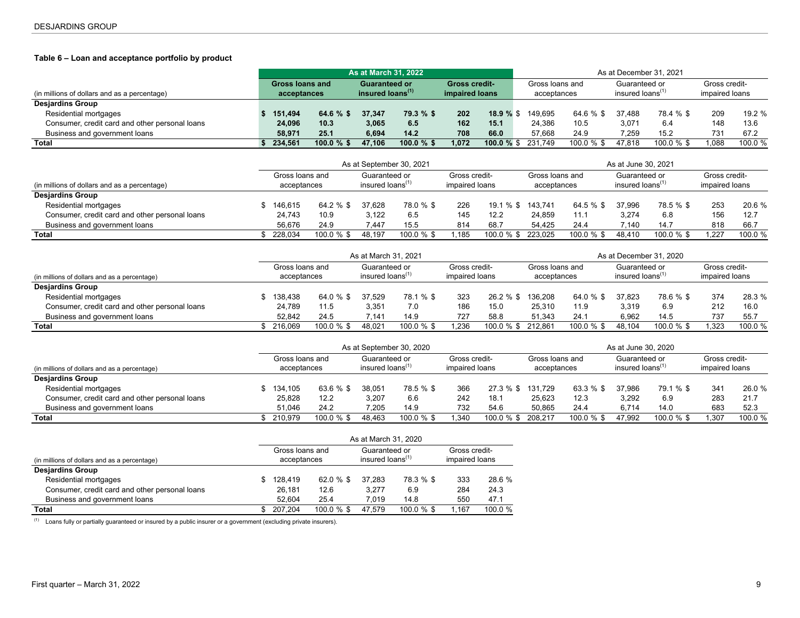## <span id="page-8-0"></span>**Table 6 – Loan and acceptance portfolio by product**

|                                                |                 |                              | <b>As at March 31, 2022</b> |               |                      |       |                    |               |                              | As at December 31, 2021 |                |         |
|------------------------------------------------|-----------------|------------------------------|-----------------------------|---------------|----------------------|-------|--------------------|---------------|------------------------------|-------------------------|----------------|---------|
|                                                | Gross loans and |                              | <b>Guaranteed or</b>        |               | <b>Gross credit-</b> |       | Gross loans and    |               | Guaranteed or                |                         | Gross credit-  |         |
| (in millions of dollars and as a percentage)   | acceptances     | insured loans <sup>(1)</sup> |                             |               | impaired loans       |       | acceptances        |               | insured loans <sup>(1)</sup> |                         | impaired loans |         |
| <b>Desjardins Group</b>                        |                 |                              |                             |               |                      |       |                    |               |                              |                         |                |         |
| Residential mortgages                          | 151.494         | 64.6 $%$ \$                  | 37.347                      | 79.3 % \$     | 202                  | 18.9% | 149.695            | 64.6 % \$     | 37.488                       | 78.4 % \$               | 209            | 19.2%   |
| Consumer, credit card and other personal loans | 24,096          | 10.3                         | 3,065                       | 6.5           | 162                  | 15.1  | 24.386             | 10.5          | 3.071                        | 6.4                     | 148            | 13.6    |
| Business and government loans                  | 58.971          | 25.1                         | 6.694                       | 14.2          | 708                  | 66.0  | 57.668             | 24.9          | 7.259                        | 15.2                    | 731            | 67.2    |
| Total                                          | 234.561         | $100.0 \%$ \$                | 47.106                      | $100.0 \%$ \$ | 1.072                |       | 100.0 % \$ 231.749 | $100.0 \%$ \$ | 47.818                       | $100.0 \%$ \$           | .088           | 100.0 % |

|                                                |                                |         |                                               | As at September 30, 2021 |                                 |               |                                |               | As at June 30, 2021                           |               |                                 |         |
|------------------------------------------------|--------------------------------|---------|-----------------------------------------------|--------------------------|---------------------------------|---------------|--------------------------------|---------------|-----------------------------------------------|---------------|---------------------------------|---------|
| (in millions of dollars and as a percentage)   | Gross loans and<br>acceptances |         | Guaranteed or<br>insured loans <sup>(1)</sup> |                          | Gross credit-<br>impaired loans |               | Gross loans and<br>acceptances |               | Guaranteed or<br>insured loans <sup>(1)</sup> |               | Gross credit-<br>impaired loans |         |
| <b>Desjardins Group</b>                        |                                |         |                                               |                          |                                 |               |                                |               |                                               |               |                                 |         |
| Residential mortgages                          | 146.615                        | 64.2 %  | 37.628                                        | 78.0 % \$                | 226                             | $19.1\%$ \$   | 143.741                        | 64.5 % \$     | 37.996                                        | 78.5 % \$     | 253                             | 20.6 %  |
| Consumer, credit card and other personal loans | 24,743                         | 10.9    | 3.122                                         | 6.5                      | 145                             | 12.2          | 24.859                         | 11.1          | 3,274                                         | 6.8           | 156                             | 12.7    |
| Business and government loans                  | 56.676                         | 24.9    | 7.447                                         | 15.5                     | 814                             | 68.7          | 54.425                         | 24.4          | 7.140                                         | 14.7          | 818                             | 66.     |
| <b>Total</b>                                   | 228.034                        | 100.0 % | 48.197                                        | $100.0 \%$ \$            | .185                            | $100.0 \%$ \$ | 223.025                        | $100.0 \%$ \$ | 48.410                                        | $100.0 \%$ \$ | .227                            | 100.0 % |

|                                                |                                |                     | As at March 31, 2021                 |            |                                 |              |                                |               |                                               | As at December 31, 2020 |                                 |         |
|------------------------------------------------|--------------------------------|---------------------|--------------------------------------|------------|---------------------------------|--------------|--------------------------------|---------------|-----------------------------------------------|-------------------------|---------------------------------|---------|
| (in millions of dollars and as a percentage)   | Gross loans and<br>acceptances |                     | Guaranteed or<br>insured loans $(1)$ |            | Gross credit-<br>impaired loans |              | Gross loans and<br>acceptances |               | Guaranteed or<br>insured loans <sup>(1)</sup> |                         | Gross credit-<br>impaired loans |         |
| <b>Desjardins Group</b>                        |                                |                     |                                      |            |                                 |              |                                |               |                                               |                         |                                 |         |
| Residential mortgages                          | 138.438                        | 37.529<br>64.0 % \$ |                                      | 78.1 % \$  | 323                             | $26.2 \%$ \$ | 136.208                        | 64.0 % \$     | 37.823                                        | 78.6 % \$               | 374                             | 28.3 %  |
| Consumer, credit card and other personal loans | 24.789                         | 11.5                | 3.351                                | 7.0        | 186                             | 15.0         | 25.310                         | 11.9          | 3,319                                         | 6.9                     | 212                             | 16.0    |
| Business and government loans                  | 52.842                         | 24.5                | 7.141                                | 14.9       | 727                             | 58.8         | 51.343                         | 24.1          | 6,962                                         | 14.5                    | 737                             | 55.7    |
| <b>Total</b>                                   | 216.069                        | 100.0 % \$          | 48.021                               | 100.0 % \$ | .236                            | 100.0 % \$   | 212.861                        | $100.0 \%$ \$ | 48.104                                        | $100.0 \%$ \$           | .323                            | 100.0 % |

| (in millions of dollars and as a percentage)   |  | As at September 30, 2020       |               |                                               |               |                                 |                   | As at June 30, 2020            |               |                                               |               |                                 |         |  |  |
|------------------------------------------------|--|--------------------------------|---------------|-----------------------------------------------|---------------|---------------------------------|-------------------|--------------------------------|---------------|-----------------------------------------------|---------------|---------------------------------|---------|--|--|
|                                                |  | Gross loans and<br>acceptances |               | Guaranteed or<br>insured loans <sup>(1)</sup> |               | Gross credit-<br>impaired loans |                   | Gross loans and<br>acceptances |               | Guaranteed or<br>insured loans <sup>(1)</sup> |               | Gross credit-<br>impaired loans |         |  |  |
| <b>Desjardins Group</b>                        |  |                                |               |                                               |               |                                 |                   |                                |               |                                               |               |                                 |         |  |  |
| Residential mortgages                          |  | 134.105                        | $63.6%$ \$    | 38.051                                        | 78.5 % \$     | 366                             | 27.3 % \$ 131.729 |                                | 63.3 % \$     | 37.986                                        | 79.1 % \$     | 34'                             | 26.0 %  |  |  |
| Consumer, credit card and other personal loans |  | 25,828                         | 12.2          | 3.207                                         | 6.6           | 242                             | 18.7              | 25,623                         | 12.3          | 3.292                                         | 6.9           | 283                             | 21.7    |  |  |
| Business and government loans                  |  | 51.046                         | 24.2          | 7.205                                         | 14.9          | 732                             | 54.6              | 50.865                         | 24.4          | 6.714                                         | 14.0          | 683                             | 52.3    |  |  |
| Total                                          |  | 210.979                        | $100.0 \%$ \$ | 48.463                                        | $100.0 \%$ \$ | .340                            | 100.0 % \$        | 208.217                        | $100.0 \%$ \$ | 47.992                                        | $100.0 \%$ \$ | .307                            | 100.0 % |  |  |

|                                                | As at March 31, 2020 |                                |             |                                               |               |                                 |        |  |  |  |  |
|------------------------------------------------|----------------------|--------------------------------|-------------|-----------------------------------------------|---------------|---------------------------------|--------|--|--|--|--|
| (in millions of dollars and as a percentage)   |                      | Gross loans and<br>acceptances |             | Guaranteed or<br>insured loans <sup>(1)</sup> |               | Gross credit-<br>impaired loans |        |  |  |  |  |
| <b>Desjardins Group</b>                        |                      |                                |             |                                               |               |                                 |        |  |  |  |  |
| Residential mortgages                          |                      | 128.419                        | 62.0 $%$ \$ | 37.283                                        | 78.3 % \$     | 333                             | 28.6 % |  |  |  |  |
| Consumer, credit card and other personal loans |                      | 26.181                         | 12.6        | 3.277                                         | 6.9           | 284                             | 24.3   |  |  |  |  |
| Business and government loans                  |                      | 52.604                         | 25.4        | 7.019                                         | 14.8          | 550                             | 47.1   |  |  |  |  |
| Total                                          |                      | 207.204                        | 100.0 % \$  | 47.579                                        | $100.0 \%$ \$ | 1.167                           | 100.0% |  |  |  |  |

(1) Loans fully or partially guaranteed or insured by a public insurer or a government (excluding private insurers).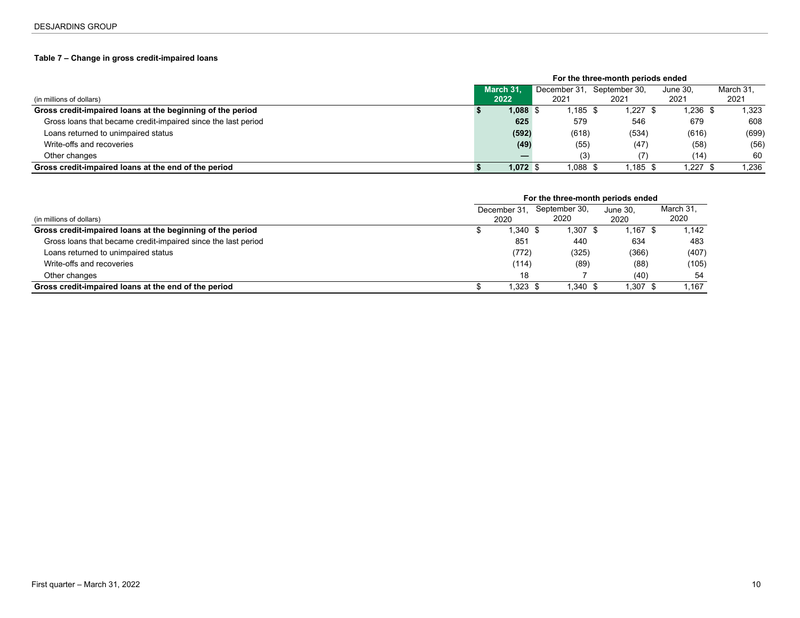## <span id="page-9-0"></span>**Table 7 – Change in gross credit-impaired loans**

|                                                               | For the three-month periods ended |            |              |               |         |            |  |           |  |
|---------------------------------------------------------------|-----------------------------------|------------|--------------|---------------|---------|------------|--|-----------|--|
|                                                               | March 31.                         |            | December 31. | September 30. |         | June 30.   |  | March 31, |  |
| (in millions of dollars)                                      |                                   | 2022       | 2021         | 2021          |         | 2021       |  | 2021      |  |
| Gross credit-impaired loans at the beginning of the period    |                                   | $1,088$ \$ | 1,185\$      |               | 1,227   | 1,236 \$   |  | 1,323     |  |
| Gross loans that became credit-impaired since the last period |                                   | 625        | 579          |               | 546     | 679        |  | 608       |  |
| Loans returned to unimpaired status                           |                                   | (592)      | (618)        |               | (534)   | (616)      |  | (699)     |  |
| Write-offs and recoveries                                     |                                   | (49)       | (55)         |               | (47)    | (58)       |  | (56)      |  |
| Other changes                                                 |                                   |            | (3)          |               | (7)     | (14)       |  | 60        |  |
| Gross credit-impaired loans at the end of the period          |                                   | $1,072$ \$ | $1,088$ \$   |               | 1,185\$ | $1,227$ \$ |  | 1,236     |  |

|                                                               | For the three-month periods ended |              |               |  |          |           |  |  |
|---------------------------------------------------------------|-----------------------------------|--------------|---------------|--|----------|-----------|--|--|
|                                                               | December 31,                      |              | September 30, |  | June 30. | March 31. |  |  |
| (in millions of dollars)                                      |                                   | 2020<br>2020 |               |  | 2020     | 2020      |  |  |
| Gross credit-impaired loans at the beginning of the period    |                                   | $1,340$ \$   | 1,307 \$      |  | 1,167 \$ | 1,142     |  |  |
| Gross loans that became credit-impaired since the last period |                                   | 851          | 440           |  | 634      | 483       |  |  |
| Loans returned to unimpaired status                           |                                   | (772)        | (325)         |  | (366)    | (407)     |  |  |
| Write-offs and recoveries                                     |                                   | (114)        | (89)          |  | (88)     | (105)     |  |  |
| Other changes                                                 |                                   | 18           |               |  | (40)     | 54        |  |  |
| Gross credit-impaired loans at the end of the period          |                                   | 1.323 \$     | $1,340$ \$    |  | 1.307 \$ | l.167     |  |  |